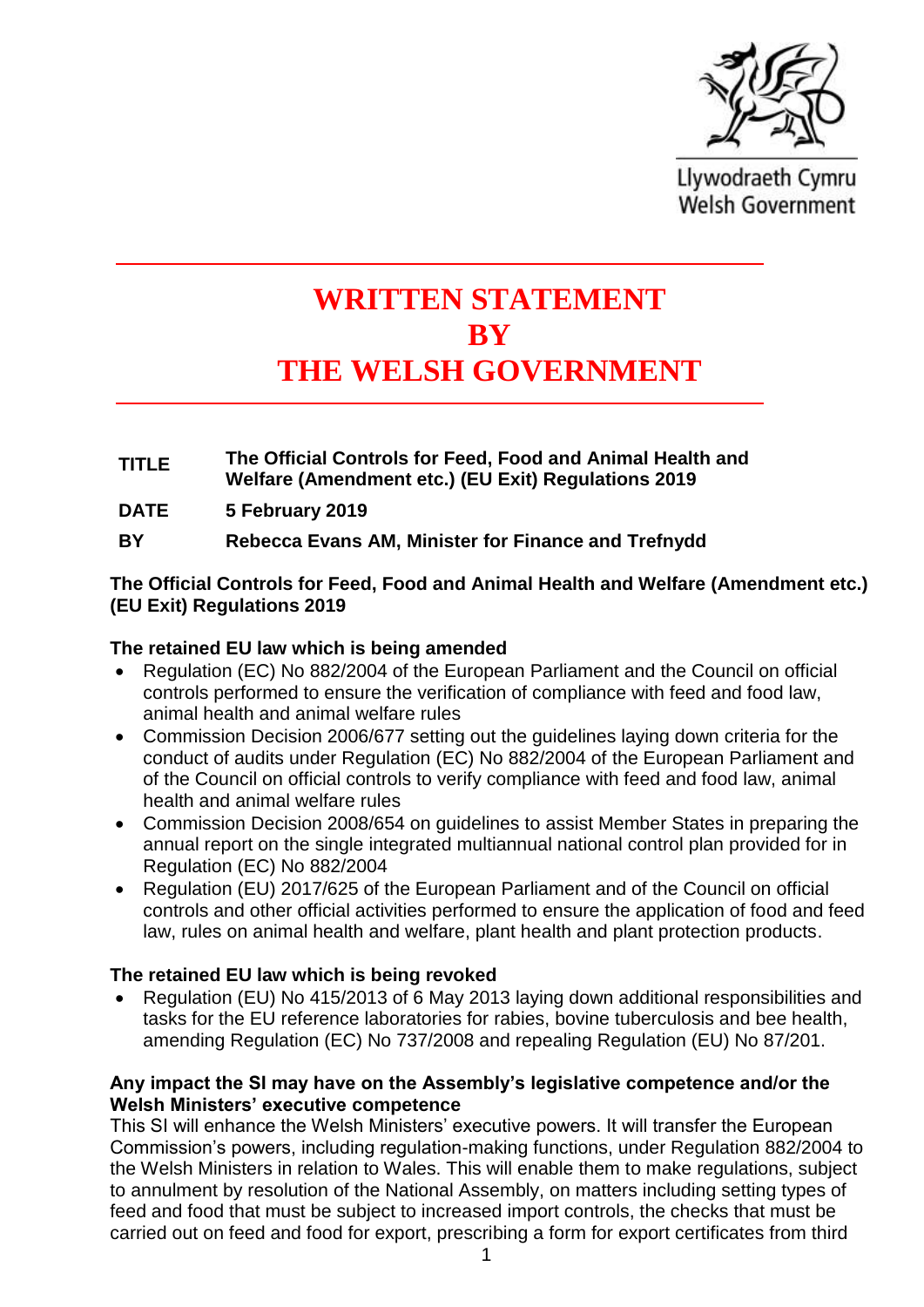

Llywodraeth Cymru **Welsh Government** 

# **WRITTEN STATEMENT BY THE WELSH GOVERNMENT**

- **TITLE The Official Controls for Feed, Food and Animal Health and Welfare (Amendment etc.) (EU Exit) Regulations 2019**
- **DATE 5 February 2019**
- **BY Rebecca Evans AM, Minister for Finance and Trefnydd**

## **The Official Controls for Feed, Food and Animal Health and Welfare (Amendment etc.) (EU Exit) Regulations 2019**

### **The retained EU law which is being amended**

- Regulation (EC) No 882/2004 of the European Parliament and the Council on official controls performed to ensure the verification of compliance with feed and food law, animal health and animal welfare rules
- Commission Decision 2006/677 setting out the guidelines laying down criteria for the conduct of audits under Regulation (EC) No 882/2004 of the European Parliament and of the Council on official controls to verify compliance with feed and food law, animal health and animal welfare rules
- Commission Decision 2008/654 on guidelines to assist Member States in preparing the annual report on the single integrated multiannual national control plan provided for in Regulation (EC) No 882/2004
- Regulation (EU) 2017/625 of the European Parliament and of the Council on official controls and other official activities performed to ensure the application of food and feed law, rules on animal health and welfare, plant health and plant protection products.

### **The retained EU law which is being revoked**

• Regulation (EU) No 415/2013 of 6 May 2013 laying down additional responsibilities and tasks for the EU reference laboratories for rabies, bovine tuberculosis and bee health, amending Regulation (EC) No 737/2008 and repealing Regulation (EU) No 87/201.

#### **Any impact the SI may have on the Assembly's legislative competence and/or the Welsh Ministers' executive competence**

This SI will enhance the Welsh Ministers' executive powers. It will transfer the European Commission's powers, including regulation-making functions, under Regulation 882/2004 to the Welsh Ministers in relation to Wales. This will enable them to make regulations, subject to annulment by resolution of the National Assembly, on matters including setting types of feed and food that must be subject to increased import controls, the checks that must be carried out on feed and food for export, prescribing a form for export certificates from third